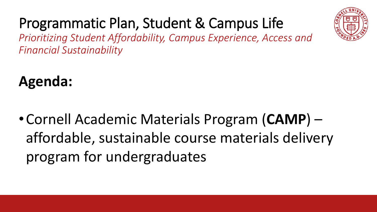

### Programmatic Plan, Student & Campus Life

*Prioritizing Student Affordability, Campus Experience, Access and Financial Sustainability*

**Agenda:**

•Cornell Academic Materials Program (**CAMP**) – affordable, sustainable course materials delivery program for undergraduates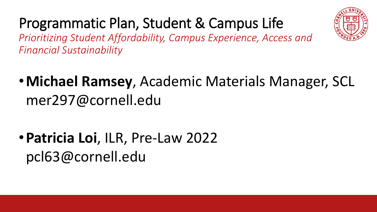



*Prioritizing Student Affordability, Campus Experience, Access and Financial Sustainability*

- •**Michael Ramsey**, Academic Materials Manager, SCL mer297@cornell.edu
- •**Patricia Loi**, ILR, Pre-Law 2022 pcl63@cornell.edu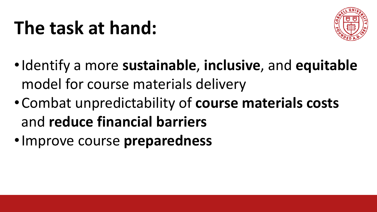## **The task at hand:**



- •Identify a more **sustainable**, **inclusive**, and **equitable** model for course materials delivery
- •Combat unpredictability of **course materials costs**  and **reduce financial barriers**
- •Improve course **preparedness**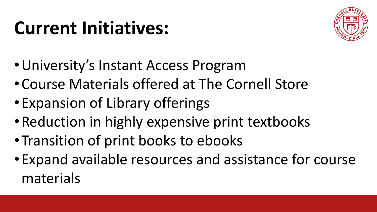## **Current Initiatives:**



- •University's Instant Access Program
- •Course Materials offered at The Cornell Store
- •Expansion of Library offerings
- •Reduction in highly expensive print textbooks
- •Transition of print books to ebooks
- •Expand available resources and assistance for course materials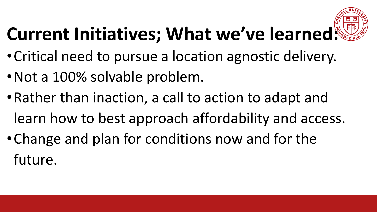

# **Current Initiatives; What we've learned:**

- •Critical need to pursue a location agnostic delivery.
- •Not a 100% solvable problem.
- •Rather than inaction, a call to action to adapt and learn how to best approach affordability and access.
- •Change and plan for conditions now and for the future.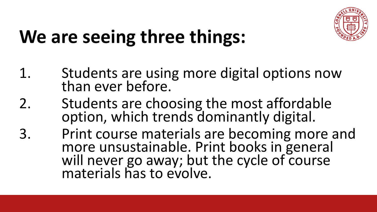

## **We are seeing three things:**

- 1. Students are using more digital options now than ever before.
- 2. Students are choosing the most affordable option, which trends dominantly digital.
- 3. Print course materials are becoming more and more unsustainable. Print books in general will never go away; but the cycle of course materials has to evolve.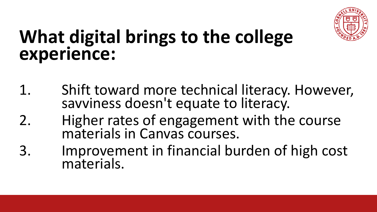

## **What digital brings to the college experience:**

- 1. Shift toward more technical literacy. However, savviness doesn't equate to literacy.
- 2. Higher rates of engagement with the course materials in Canvas courses.
- 3. Improvement in financial burden of high cost materials.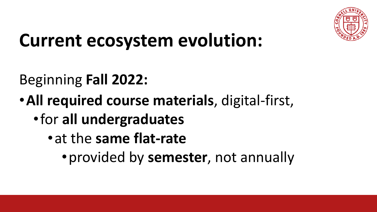

## **Current ecosystem evolution:**

### Beginning **Fall 2022:**

- •**All required course materials**, digital-first,
	- •for **all undergraduates**
		- •at the **same flat-rate**
			- •provided by **semester**, not annually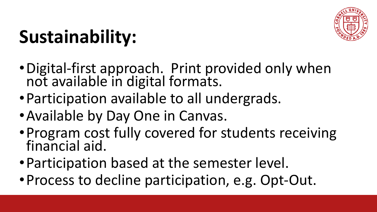

# **Sustainability:**

- •Digital-first approach. Print provided only when not available in digital formats.
- •Participation available to all undergrads.
- •Available by Day One in Canvas.
- •Program cost fully covered for students receiving financial aid.
- •Participation based at the semester level.
- •Process to decline participation, e.g. Opt-Out.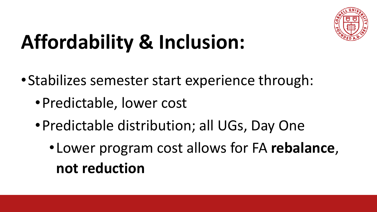

# **Affordability & Inclusion:**

- •Stabilizes semester start experience through:
	- •Predictable, lower cost
	- •Predictable distribution; all UGs, Day One
		- •Lower program cost allows for FA **rebalance**, **not reduction**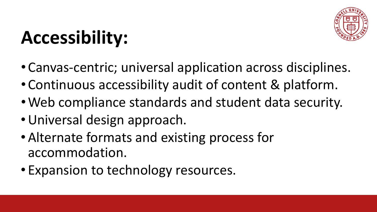# **Accessibility:**

- Canvas-centric; universal application across disciplines.
- Continuous accessibility audit of content & platform.
- •Web compliance standards and student data security.
- •Universal design approach.
- •Alternate formats and existing process for accommodation.
- Expansion to technology resources.